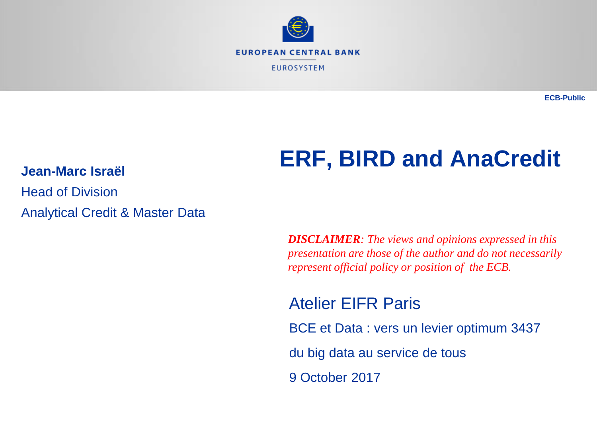

**ECB-Public**

# **ERF, BIRD and AnaCredit**

Head of Division Analytical Credit & Master Data

**Jean-Marc Israël**

*DISCLAIMER: The views and opinions expressed in this presentation are those of the author and do not necessarily represent official policy or position of the ECB.*

Atelier EIFR Paris

BCE et Data : vers un levier optimum 3437

du big data au service de tous

9 October 2017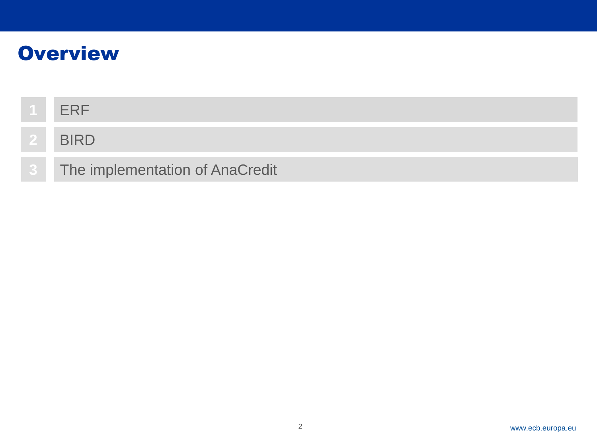## **Overview**

| <b>FRF</b>                      |
|---------------------------------|
| <b>BIRD</b>                     |
| The implementation of AnaCredit |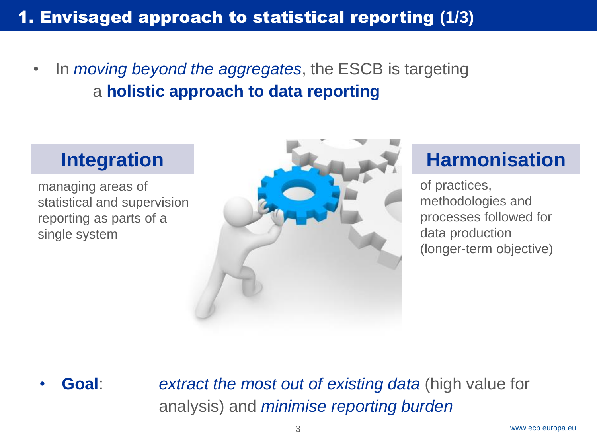• In *moving beyond the aggregates*, the ESCB is targeting a **holistic approach to data reporting**

managing areas of statistical and supervision reporting as parts of a single system



of practices, methodologies and processes followed for data production (longer-term objective)

• **Goal**: *extract the most out of existing data* (high value for analysis) and *minimise reporting burden*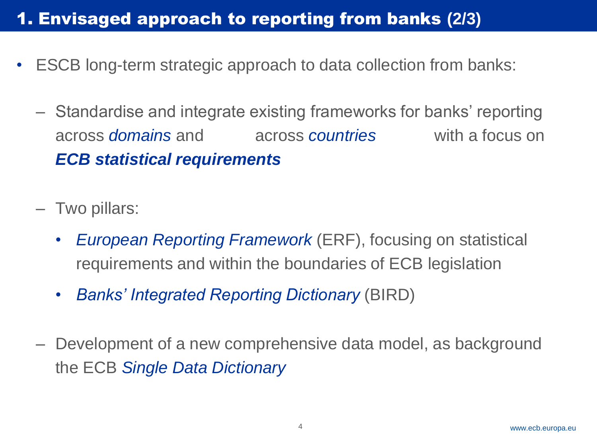### **1. Envisaged approach to reporting from banks (2/3)**

- ESCB long-term strategic approach to data collection from banks:
	- Standardise and integrate existing frameworks for banks' reporting across *domains* and across *countries* with a focus on *ECB statistical requirements*
	- Two pillars:
		- *European Reporting Framework* (ERF), focusing on statistical requirements and within the boundaries of ECB legislation
		- *Banks' Integrated Reporting Dictionary* (BIRD)
	- Development of a new comprehensive data model, as background the ECB *Single Data Dictionary*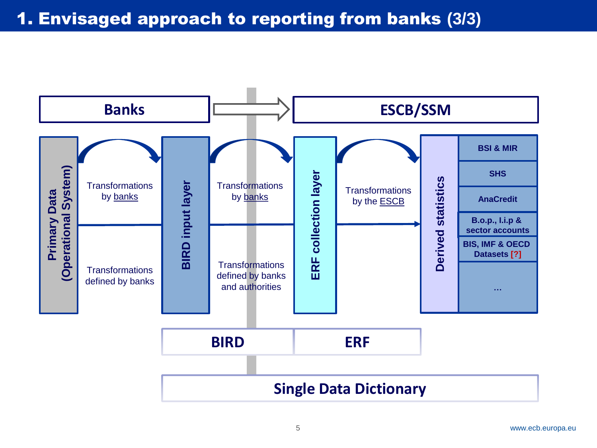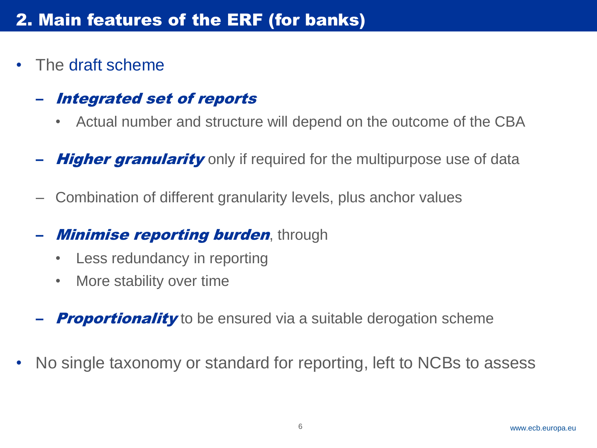• The draft scheme

#### Integrated set of reports

- Actual number and structure will depend on the outcome of the CBA
- **Higher granularity** only if required for the multipurpose use of data
- Combination of different granularity levels, plus anchor values
- **Minimise reporting burden**, through
	- Less redundancy in reporting
	- More stability over time
- **Proportionality** to be ensured via a suitable derogation scheme
- No single taxonomy or standard for reporting, left to NCBs to assess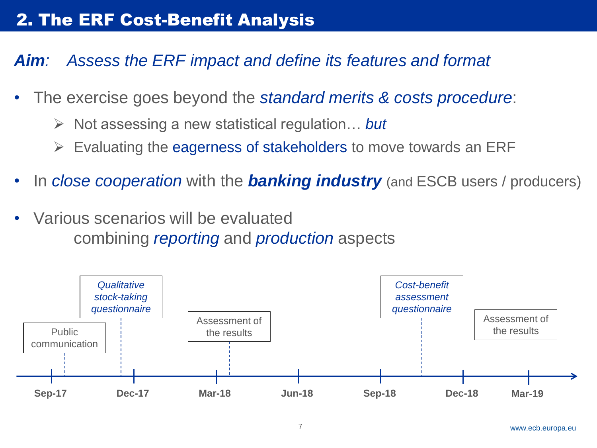*Aim: Assess the ERF impact and define its features and format*

- The exercise goes beyond the *standard merits & costs procedure*:
	- Not assessing a new statistical regulation… *but*
	- $\triangleright$  Evaluating the eagerness of stakeholders to move towards an ERF
- In *close cooperation* with the *banking industry* (and ESCB users / producers)
- Various scenarios will be evaluated combining *reporting* and *production* aspects

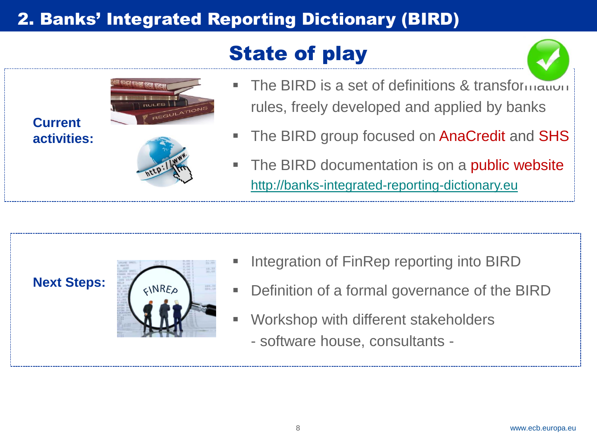## 2. Banks' Integrated Reporting Dictionary (BIRD)

# State of play



- The BIRD is a set of definitions & transformation rules, freely developed and applied by banks
- The BIRD group focused on AnaCredit and SHS
- The BIRD documentation is on a **public website** [http://banks-integrated-reporting-dictionary.eu](http://banks-integrated-reporting-dictionary.eu/)

#### **Next Steps:**

**Current** 

**activities:**



- Integration of FinRep reporting into BIRD
- **Definition of a formal governance of the BIRD**
- Workshop with different stakeholders
	- software house, consultants -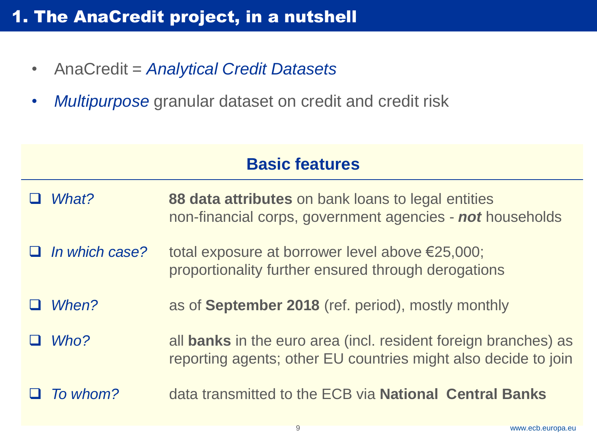### **1. The AnaCredit project, in a nutshell**

- AnaCredit = *Analytical Credit Datasets*
- *Multipurpose* granular dataset on credit and credit risk

#### **Basic features**

- *What?* **88 data attributes** on bank loans to legal entities non-financial corps, government agencies - *not* households
- *In which case?* total exposure at borrower level above €25,000; proportionality further ensured through derogations
- *When?* as of **September 2018** (ref. period), mostly monthly
- *Who?* all **banks** in the euro area (incl. resident foreign branches) as reporting agents; other EU countries might also decide to join
- *To whom?* data transmitted to the ECB via **National Central Banks**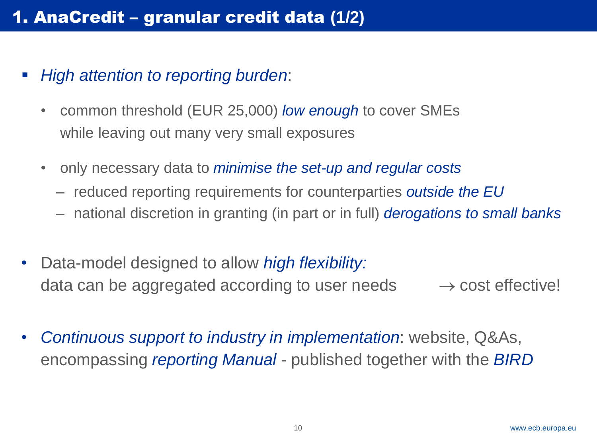- *High attention to reporting burden*:
	- common threshold (EUR 25,000) *low enough* to cover SMEs while leaving out many very small exposures
	- only necessary data to *minimise the set-up and regular costs*
		- ‒ reduced reporting requirements for counterparties *outside the EU*
		- ‒ national discretion in granting (in part or in full) *derogations to small banks*
- Data-model designed to allow *high flexibility:* data can be aggregated according to user needs  $\rightarrow$  cost effective!
- *Continuous support to industry in implementation*: website, Q&As, encompassing *reporting Manual* - published together with the *BIRD*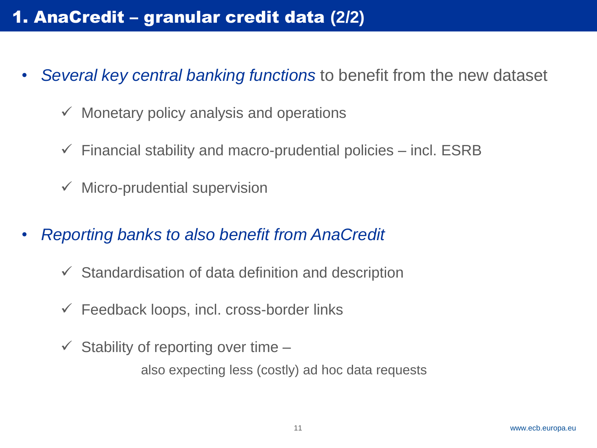### 1. AnaCredit - granular credit data (2/2)

- *Several key central banking functions* to benefit from the new dataset
	- $\checkmark$  Monetary policy analysis and operations
	- $\checkmark$  Financial stability and macro-prudential policies incl. ESRB
	- $\checkmark$  Micro-prudential supervision
- *Reporting banks to also benefit from AnaCredit*
	- $\checkmark$  Standardisation of data definition and description
	- $\checkmark$  Feedback loops, incl. cross-border links
	- $\checkmark$  Stability of reporting over time –

also expecting less (costly) ad hoc data requests